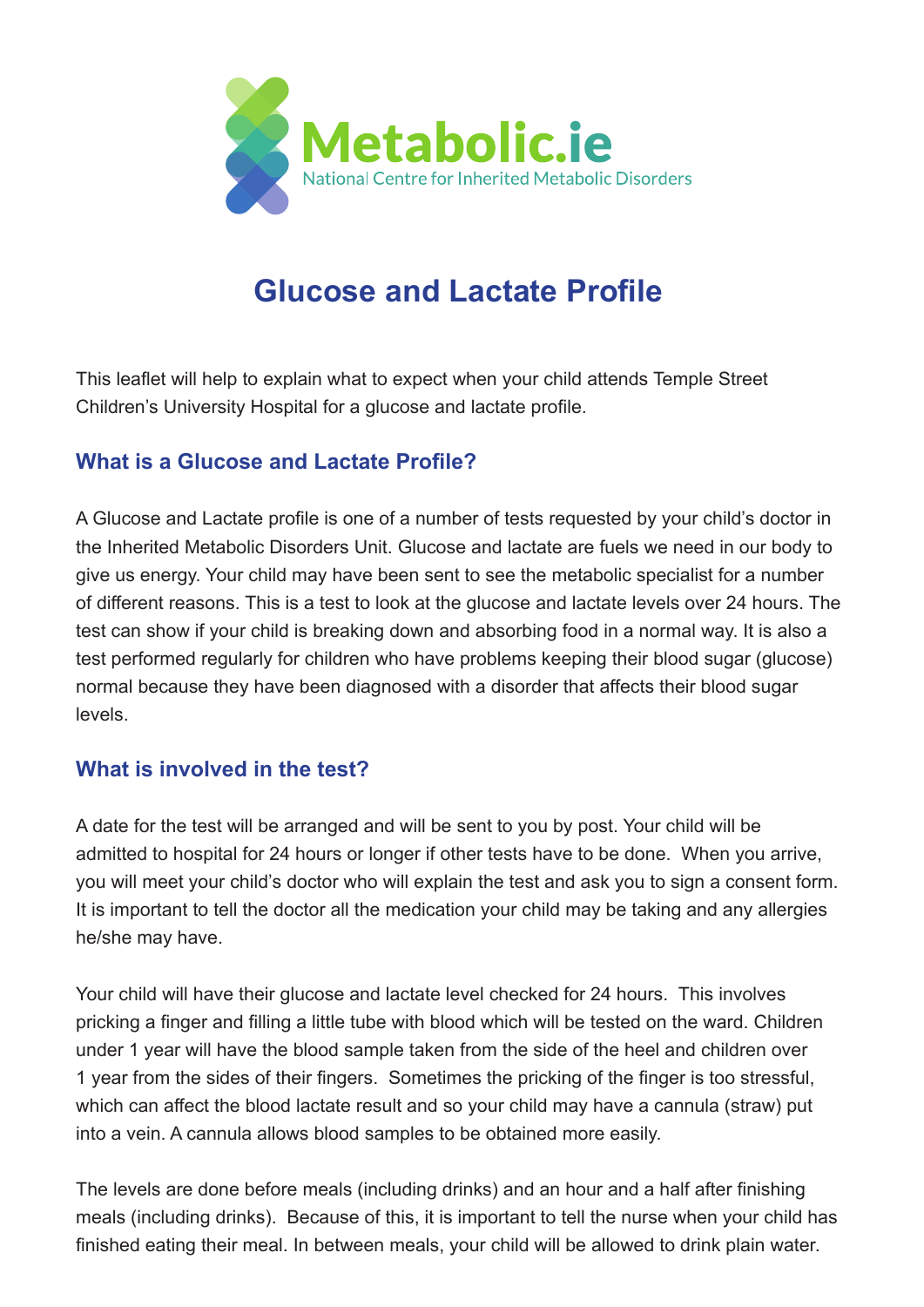

## **Glucose and Lactate Profile**

This leaflet will help to explain what to expect when your child attends Temple Street Children's University Hospital for a glucose and lactate profile.

## **What is a Glucose and Lactate Profile?**

A Glucose and Lactate profile is one of a number of tests requested by your child's doctor in the Inherited Metabolic Disorders Unit. Glucose and lactate are fuels we need in our body to give us energy. Your child may have been sent to see the metabolic specialist for a number of different reasons. This is a test to look at the glucose and lactate levels over 24 hours. The test can show if your child is breaking down and absorbing food in a normal way. It is also a test performed regularly for children who have problems keeping their blood sugar (glucose) normal because they have been diagnosed with a disorder that affects their blood sugar levels.

## **What is involved in the test?**

A date for the test will be arranged and will be sent to you by post. Your child will be admitted to hospital for 24 hours or longer if other tests have to be done. When you arrive, you will meet your child's doctor who will explain the test and ask you to sign a consent form. It is important to tell the doctor all the medication your child may be taking and any allergies he/she may have.

Your child will have their glucose and lactate level checked for 24 hours. This involves pricking a finger and filling a little tube with blood which will be tested on the ward. Children under 1 year will have the blood sample taken from the side of the heel and children over 1 year from the sides of their fingers. Sometimes the pricking of the finger is too stressful, which can affect the blood lactate result and so your child may have a cannula (straw) put into a vein. A cannula allows blood samples to be obtained more easily.

The levels are done before meals (including drinks) and an hour and a half after finishing meals (including drinks). Because of this, it is important to tell the nurse when your child has finished eating their meal. In between meals, your child will be allowed to drink plain water.